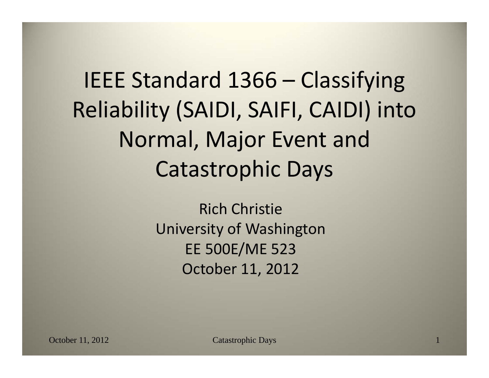IEEE Standard 1366 – Classifying Reliability (SAIDI, SAIFI, CAIDI) into Normal, Major Event and Catastrophic Days

> Rich Christie University of Washington EE 500E/ME 523 October 11, 2012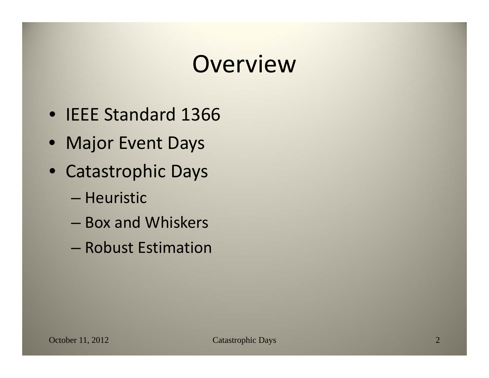#### Overview

- IEEE Standard 1366
- Major Event Days
- Catastrophic Days
	- Heuristic
	- Box and Whiskers
	- Robust Estimation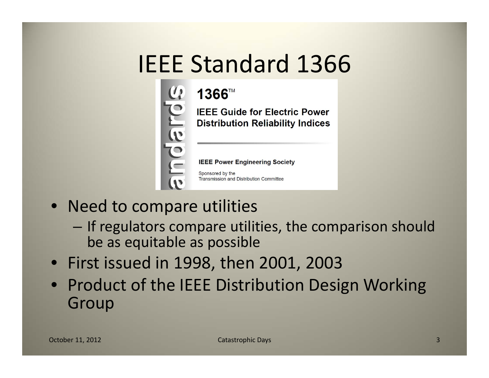#### IEEE Standard 1366

# 1366™ puepue

**IEEE Guide for Electric Power Distribution Reliability Indices** 

**IEEE Power Engineering Society** 

Sponsored by the Transmission and Distribution Committee

- Need to compare utilities
	- $-$  If regulators compare utilities, the comparison should be as equitable as possible
- First issued in 1998, then 2001, 2003
- Product of the IEEE Distribution Design Working Group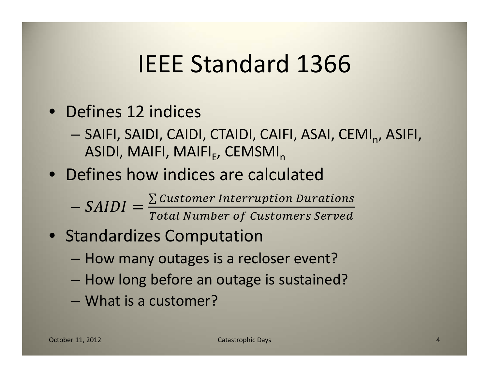#### IEEE Standard 1366

- Defines 12 indices
	- SAIFI, SAIDI, CAIDI, CTAIDI, CAIFI, ASAI, CEMI<sub>n</sub>, ASIFI, ASIDI, MAIFI, MAIFI<sub>F</sub>, CEMSMI<sub>n</sub>
- Defines how indices are calculated
	- $\sum$  Customer Interruption Durations Total Number of Customers Served
- Standardizes Computation
	- How many outages is <sup>a</sup> recloser event?
	- How long before an outage is sustained?
	- What is <sup>a</sup> customer?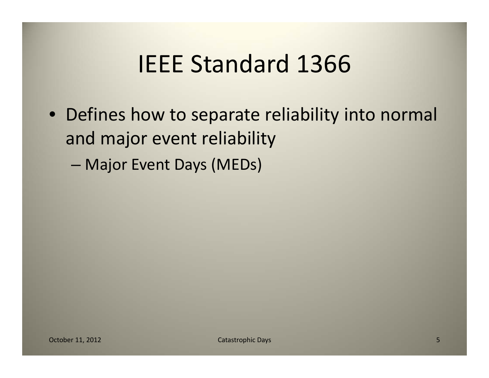#### IEEE Standard 1366

- Defines how to separate reliability into normal and major event reliability
	- Major Event Days (MEDs)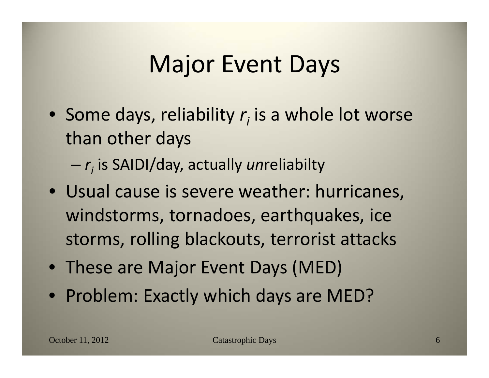#### Major Event Days

- Some days, reliability  $r<sub>i</sub>$  is a whole lot worse than other days
	- *ri* is SAIDI/day, actually *un*reliabilty
- Usual cause is severe weather: hurricanes, windstorms, tornadoes, earthquakes, ice storms, rolling blackouts, terrorist attacks
- These are Major Event Days (MED)
- Problem: Exactly which days are MED?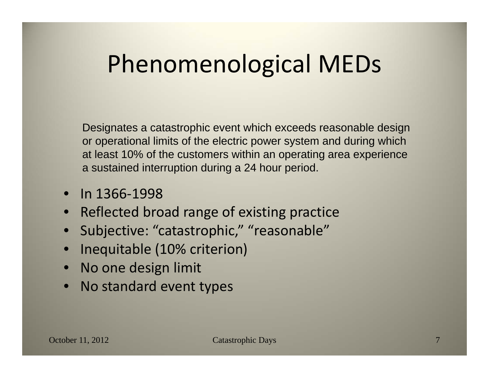#### Phenomenological MEDs

Designates a catastrophic event which exceeds reasonable design or operational limits of the electric power system and during which at least 10% of the customers within an operating area experience a sustained interruption during a 24 hour period.

- In 1366 ‐1998
- •• Reflected broad range of existing practice
- •Subjective: "catastrophic," "reasonable"
- •Inequitable (10% criterion)
- •No one design limit
- •• No standard event types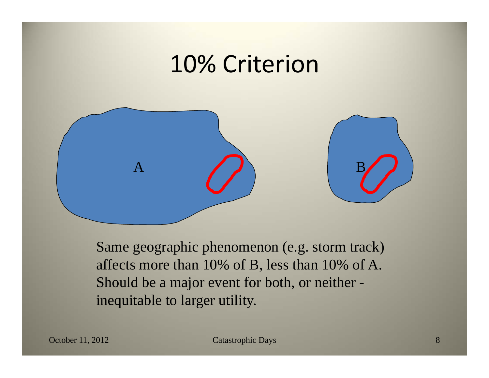#### 10% Criterion



Same geographic phenomenon (e.g. storm track) affects more than 10% of B, less than 10% of A. Should be a major event for both, or neither inequitable to larger utility.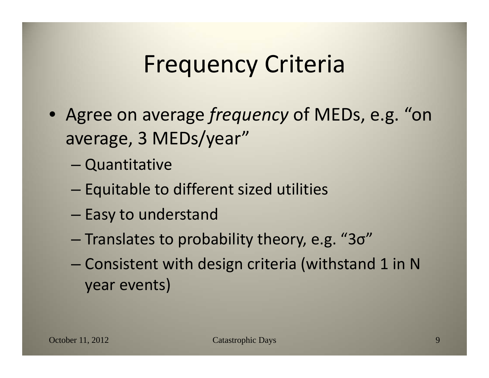#### Frequency Criteria

- Agree on average *frequency* of MEDs, e.g. "on average, 3 MEDs/year"
	- Quantitative
	- Equitable to different sized utilities
	- $-$  Easy to understand
	- $-$  Translates to probability theory, e.g. "3σ"
	- Consistent with design criteria (withstand 1 in N year events)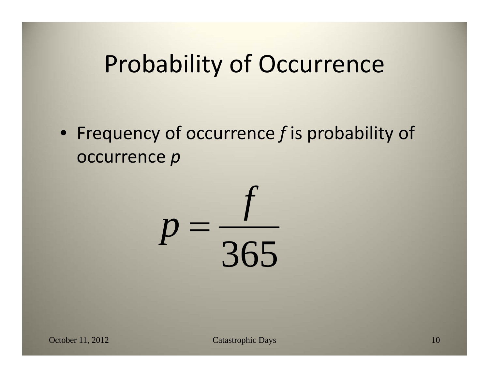#### Probability of Occurrence

• Frequency of occurrence *f* is probability of occurrence *p*

365  $p = \frac{f}{\sigma}$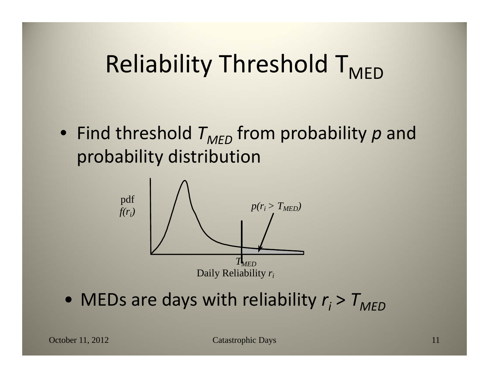### Reliability Threshold T<sub>MED</sub>

• Find threshold  $T_{\mathcal{MED}}$  from probability  $p$  and probability distribution



• MEDs are days with reliability  $r_i$  >  $T_{MED}$ 

October 11, 2012 Catastrophic Days 11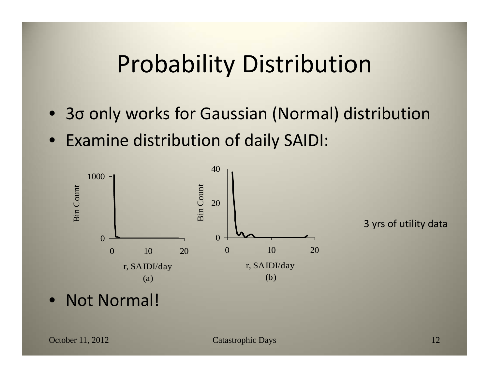#### Probability Distribution

- 3σ only works for Gaussian (Normal) distribution
- Examine distribution of daily SAIDI:



3 yrs of utility data

• Not Normal!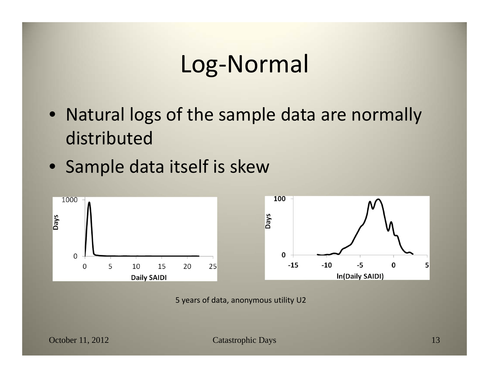#### Log‐Normal

- Natural logs of the sample data are normally distributed
- Sample data itself is skew



5 years of data, anonymous utility U2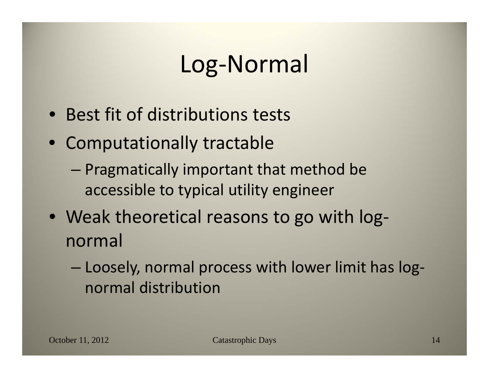#### Log‐Normal

- Best fit of distributions tests
- Computationally tractable
	- Pragmatically important that method be accessible to typical utility engineer
- Weak theoretical reasons to go with log‐ normal
	- Loosely, normal process with lower limit has log‐ normal distribution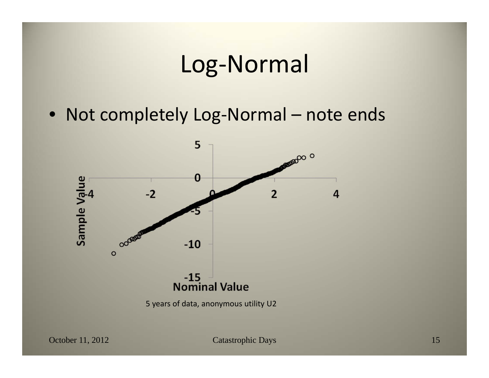#### Log‐Normal

• Not completely Log‐Normal – note ends



October 11, 2012 Catastrophic Days 15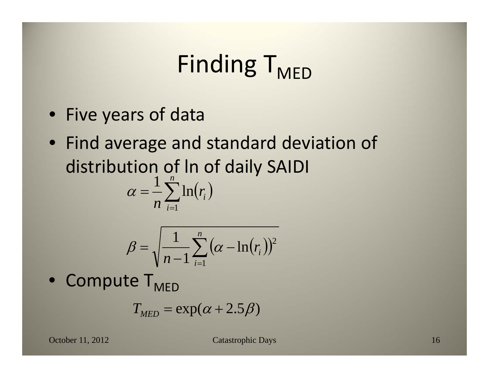## Finding T<sub>MED</sub>

- Five years of data
- Find average and standard deviation of distribution of ln of daily SAIDI *n*

$$
\alpha = \frac{1}{n} \sum_{i=1}^{n} \ln(r_i)
$$

$$
\beta = \sqrt{\frac{1}{n-1} \sum_{i=1}^{n} (\alpha - \ln(r_i))^2}
$$

 $\bullet$  Compute  $\mathsf{T}_{\mathsf{MED}}$ 

$$
T_{MED} = \exp(\alpha + 2.5\beta)
$$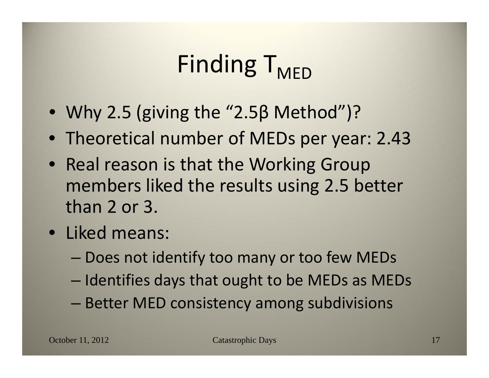# Finding  $T_{MFD}$

- Why 2.5 (giving the "2.5β Method")?
- Theoretical number of MEDs per year: 2.43
- Real reason is that the Working Group members liked the results using 2.5 better than 2 or 3.
- Liked means:
	- Does not identify too many or too few MEDs
	- Identifies days that ought to be MEDs as MEDs
	- Better MED consistency among subdivisions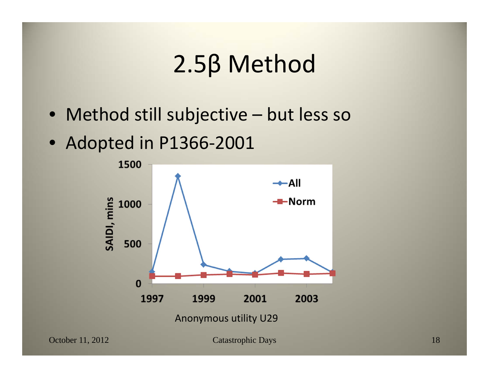#### 2.5β Method

- Method still subjective but less so
- Adopted in P1366‐2001

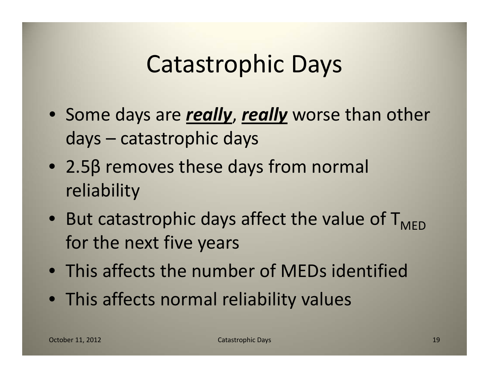- Some days are *really*, *really* worse than other days – catastrophic days
- 2.5β removes these days from normal reliability
- But catastrophic days affect the value of  $T_{\text{MED}}$ for the next five years
- This affects the number of MEDs identified
- This affects normal reliability values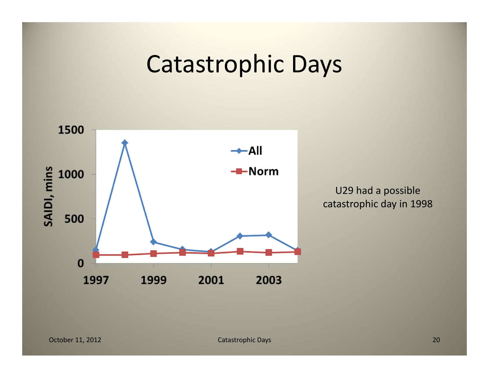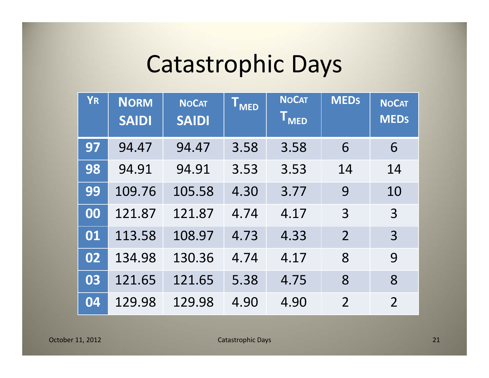| <b>YR</b> | <b>NORM</b><br><b>SAIDI</b> | <b>NOCAT</b><br><b>SAIDI</b> | <b>T</b> <sub>MED</sub> | <b>NOCAT</b><br>T <sub>MED</sub> | <b>MEDS</b>    | <b>NOCAT</b><br><b>MEDs</b> |
|-----------|-----------------------------|------------------------------|-------------------------|----------------------------------|----------------|-----------------------------|
| 97        | 94.47                       | 94.47                        | 3.58                    | 3.58                             | 6              | 6                           |
| 98        | 94.91                       | 94.91                        | 3.53                    | 3.53                             | 14             | 14                          |
| 99        | 109.76                      | 105.58                       | 4.30                    | 3.77                             | 9              | 10                          |
| 00        | 121.87                      | 121.87                       | 4.74                    | 4.17                             | 3              | 3                           |
| 01        | 113.58                      | 108.97                       | 4.73                    | 4.33                             | $\overline{2}$ | 3                           |
| 02        | 134.98                      | 130.36                       | 4.74                    | 4.17                             | 8              | 9                           |
| 03        | 121.65                      | 121.65                       | 5.38                    | 4.75                             | 8              | 8                           |
| 04        | 129.98                      | 129.98                       | 4.90                    | 4.90                             | $\overline{2}$ | $\overline{2}$              |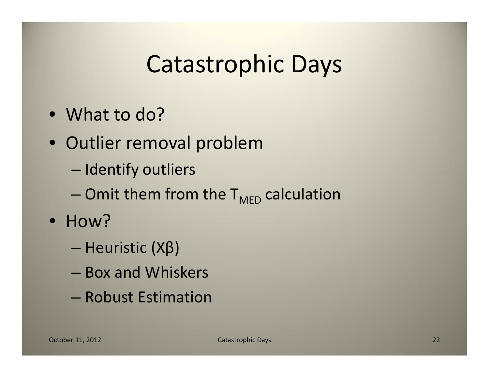- What to do?
- Outlier removal problem
	- $-$  Identify outliers
	- Omit them from the  $\mathsf{T}_{\mathsf{MED}}$  calculation
- How?
	- Heuristic (Xβ)
	- Box and Whiskers
	- Robust Estimation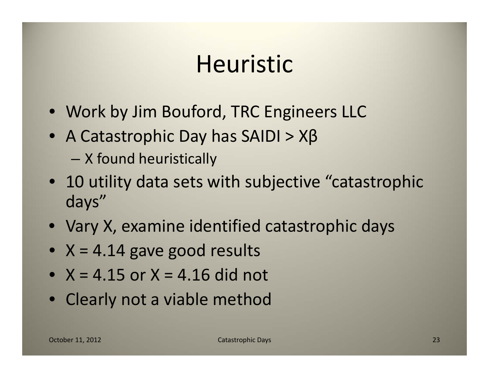#### Heuristic

- Work by Jim Bouford, TRC Engineers LLC
- A Catastrophic Day has SAIDI > Xβ
	- X found heuristically
- 10 utility data sets with subjective "catastrophic days"
- Vary X, examine identified catastrophic days
- X <sup>=</sup> 4.14 gave good results
- $\bullet\;$  X = 4.15 or X = 4.16 did not
- Clearly not <sup>a</sup> viable method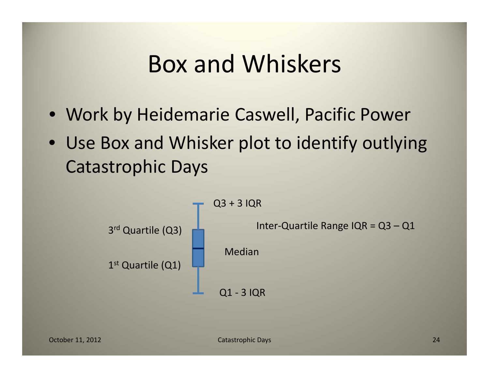#### Box and Whiskers

- Work by Heidemarie Caswell, Pacific Power
- Use Box and Whisker plot to identify outlying Catastrophic Days

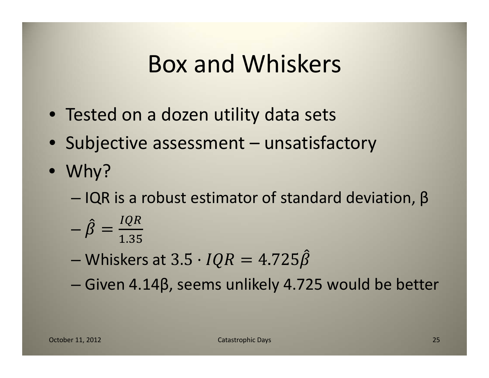#### Box and Whiskers

- Tested on <sup>a</sup> dozen utility data sets
- Subjective assessment unsatisfactory
- Why?
	- $-$  IQR is a robust estimator of standard deviation, β
	- IQR 1.35
	- Whiskers at
	- Given 4.14β, seems unlikely 4.725 would be better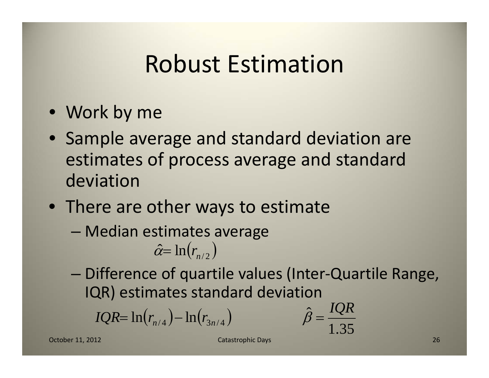- Work by me
- Sample average and standard deviation are estimates of process average and standard deviation
- There are other ways to estimate
	- Median estimates average

$$
\hat{\alpha} = \ln(r_{n/2})
$$

 Difference of quartile values (Inter‐Quartile Range, IQR) estimates standard deviation

1.35

 $\hat{\beta} = \frac{IQR}{IQR}$ 

ˆ

*IQR*= 
$$
\ln(r_{n/4}) - \ln(r_{3n/4})
$$

October 11, 2012

**11, 2012 Catastrophic Days** 26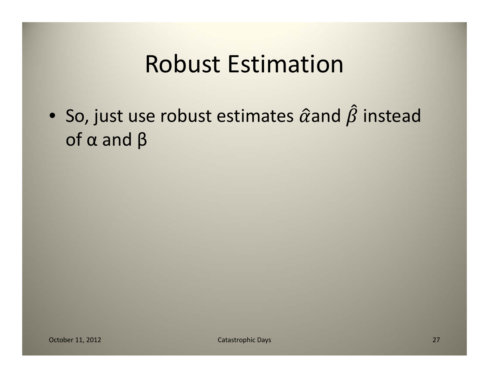• So, just use robust estimates  $\hat{\alpha}$ and  $\beta$  instead of α and β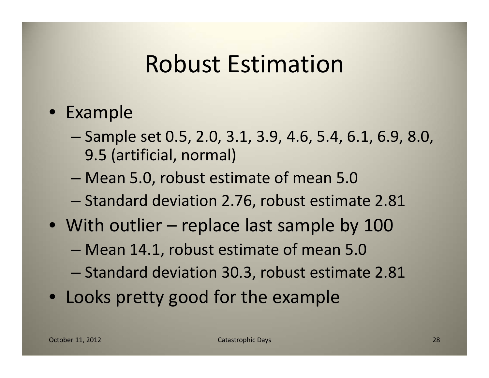#### • Example

- Sample set 0.5, 2.0, 3.1, 3.9, 4.6, 5.4, 6.1, 6.9, 8.0, 9.5 (artificial, normal)
- Mean 5.0, robust estimate of mean 5.0
- Standard deviation 2.76, robust estimate 2.81
- With outlier replace last sample by 100
	- Mean 14.1, robust estimate of mean 5.0
	- Standard deviation 30.3, robust estimate 2.81
- Looks pretty good for the example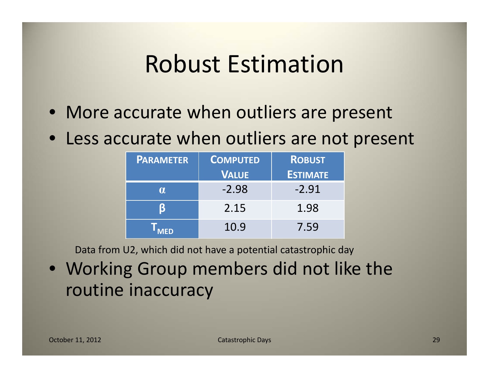- More accurate when outliers are present
- Less accurate when outliers are not present

| <b>PARAMETER</b> | <b>COMPUTED</b> | <b>ROBUST</b>   |  |
|------------------|-----------------|-----------------|--|
|                  | <b>VALUE</b>    | <b>ESTIMATE</b> |  |
| <b>A</b>         | $-2.98$         | $-2.91$         |  |
|                  | 2.15            | 1.98            |  |
| <b>MED</b>       | 10.9            | 7.59            |  |

Data from U2, which did not have <sup>a</sup> potential catastrophic day

• Working Group members did not like the routine inaccuracy